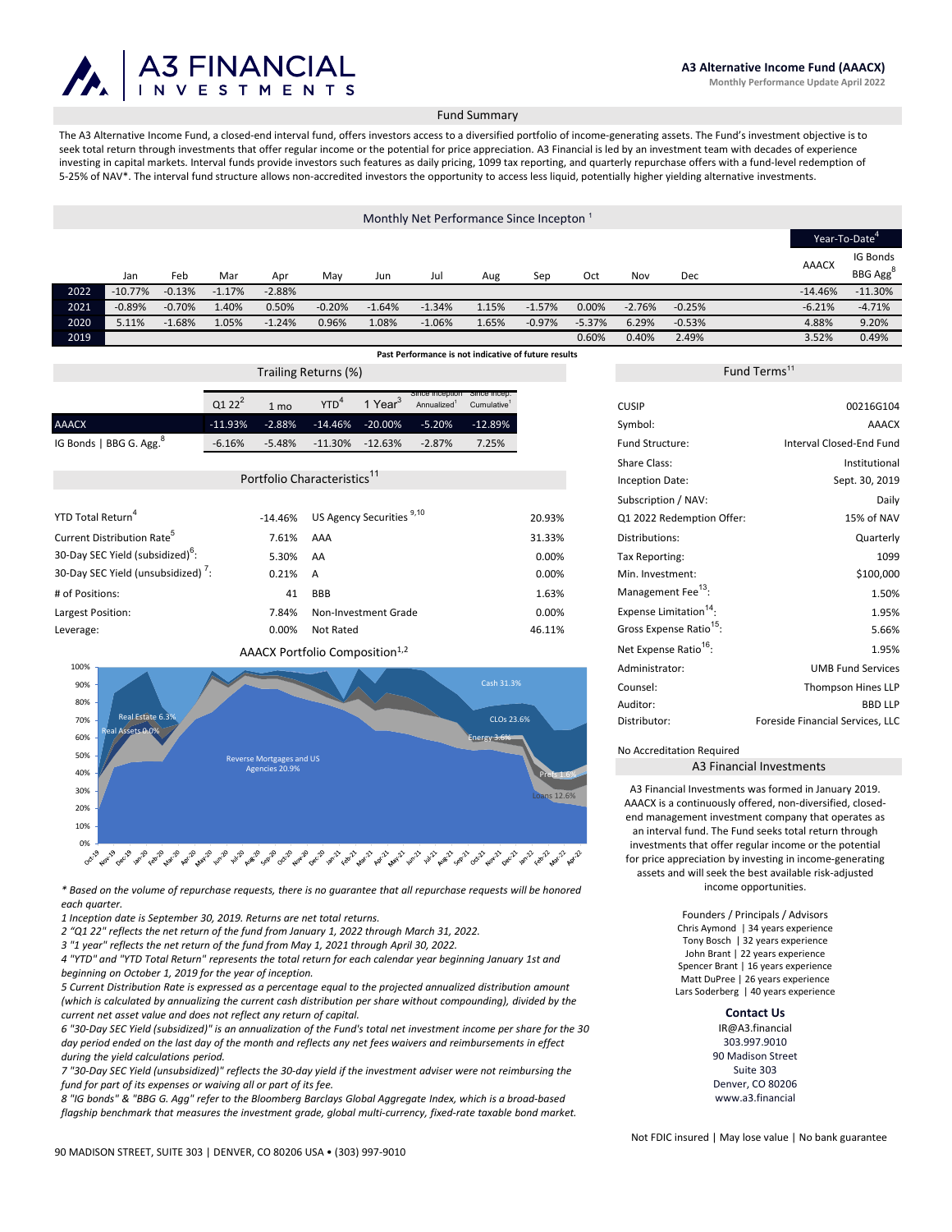

## Fund Summary

The A3 Alternative Income Fund, a closed-end interval fund, offers investors access to a diversified portfolio of income-generating assets. The Fund's investment objective is to seek total return through investments that offer regular income or the potential for price appreciation. A3 Financial is led by an investment team with decades of experience investing in capital markets. Interval funds provide investors such features as daily pricing, 1099 tax reporting, and quarterly repurchase offers with a fund-level redemption of 5-25% of NAV\*. The interval fund structure allows non-accredited investors the opportunity to access less liquid, potentially higher yielding alternative investments.

# Monthly Net Performance Since Incepton<sup>1</sup>

|                                                      |            |          |          |          |          |          |          |       |          | Year-To-Date <sup>4</sup> |          |          |  |              |                      |  |
|------------------------------------------------------|------------|----------|----------|----------|----------|----------|----------|-------|----------|---------------------------|----------|----------|--|--------------|----------------------|--|
|                                                      |            |          |          |          |          |          |          |       |          |                           |          |          |  |              | IG Bonds             |  |
|                                                      | Jan        | Feb      | Mar      | Apr      | May      | Jun      | Jul      | Aug   | Sep      | Oct                       | Nov      | Dec      |  | <b>AAACX</b> | BBG Agg <sup>o</sup> |  |
| 2022                                                 | $-10.77\%$ | $-0.13%$ | $-1.17%$ | $-2.88%$ |          |          |          |       |          |                           |          |          |  | $-14.46%$    | $-11.30%$            |  |
| 2021                                                 | $-0.89%$   | $-0.70%$ | 1.40%    | 0.50%    | $-0.20%$ | $-1.64%$ | $-1.34%$ | 1.15% | $-1.57%$ | 0.00%                     | $-2.76%$ | $-0.25%$ |  | $-6.21%$     | $-4.71%$             |  |
| 2020                                                 | 5.11%      | $-1.68%$ | 1.05%    | $-1.24%$ | 0.96%    | 1.08%    | $-1.06%$ | 1.65% | $-0.97%$ | $-5.37%$                  | 6.29%    | $-0.53%$ |  | 4.88%        | 9.20%                |  |
| 2019                                                 |            |          |          |          |          |          |          |       |          | 0.60%                     | 0.40%    | 2.49%    |  | 3.52%        | 0.49%                |  |
| Past Performance is not indicative of future results |            |          |          |          |          |          |          |       |          |                           |          |          |  |              |                      |  |

| Trailing Returns (%)                    |            |                |            |                     |                                                         |                         |  |  |  |
|-----------------------------------------|------------|----------------|------------|---------------------|---------------------------------------------------------|-------------------------|--|--|--|
|                                         | $Q122^2$   | $1 \text{ mo}$ | <b>YTD</b> | 1 Year <sup>3</sup> | Since inception Since incep.<br>Annualized <sup>1</sup> | Cumulative <sup>1</sup> |  |  |  |
| <b>AAACX</b>                            | $-11.93\%$ | $-2.88%$       |            | -14.46% -20.00%     | $-5.20\%$                                               | -12.89%                 |  |  |  |
| IG Bonds   BBG G. Agg. $8^{\circ}$      | $-6.16%$   | $-5.48%$       | $-11.30\%$ | $-12.63%$           | $-2.87%$                                                | 7.25%                   |  |  |  |
|                                         |            |                |            |                     |                                                         |                         |  |  |  |
| Portfolio Characteristics <sup>11</sup> |            |                |            |                     |                                                         |                         |  |  |  |

|                                              |           |                                      |        | Subscription / NAV:                 | Daily      |
|----------------------------------------------|-----------|--------------------------------------|--------|-------------------------------------|------------|
| YTD Total Return <sup>4</sup>                | $-14.46%$ | US Agency Securities <sup>9,10</sup> | 20.93% | Q1 2022 Redemption Offer:           | 15% of NAV |
| Current Distribution Rate <sup>o</sup>       | 7.61%     | AAA                                  | 31.33% | Distributions:                      | Quarterly  |
| 30-Day SEC Yield (subsidized) <sup>o</sup> : | 5.30%     | AA                                   | 0.00%  | Tax Reporting:                      | 1099       |
| 30-Day SEC Yield (unsubsidized) ':           | 0.21% A   |                                      | 0.00%  | Min. Investment:                    | \$100,000  |
| # of Positions:                              | 41        | <b>BBB</b>                           | 1.63%  | Management Fee <sup>13</sup> :      | 1.50%      |
| Largest Position:                            | 7.84%     | Non-Investment Grade                 | 0.00%  | Expense Limitation <sup>14</sup> :  | 1.95%      |
| Leverage:                                    | 0.00%     | Not Rated                            | 46.11% | Gross Expense Ratio <sup>15</sup> : | 5.66%      |
|                                              |           |                                      |        |                                     |            |

# AAACX Portfolio Composition<sup>1,2</sup>



*\* Based on the volume of repurchase requests, there is no guarantee that all repurchase requests will be honored each quarter.* 

*1 Inception date is September 30, 2019. Returns are net total returns.* 

*2 "Q1 22" reflects the net return of the fund from January 1, 2022 through March 31, 2022.* 

*3 "1 year" reflects the net return of the fund from May 1, 2021 through April 30, 2022.*

*4 "YTD" and "YTD Total Return" represents the total return for each calendar year beginning January 1st and beginning on October 1, 2019 for the year of inception.* 

*5 Current Distribution Rate is expressed as a percentage equal to the projected annualized distribution amount (which is calculated by annualizing the current cash distribution per share without compounding), divided by the current net asset value and does not reflect any return of capital.*

*6 "30‐Day SEC Yield (subsidized)" is an annualization of the Fund's total net investment income per share for the 30 day period ended on the last day of the month and reflects any net fees waivers and reimbursements in effect during the yield calculations period.*

*7 "30‐Day SEC Yield (unsubsidized)" reflects the 30‐day yield if the investment adviser were not reimbursing the fund for part of its expenses or waiving all or part of its fee.* 

*8 "IG bonds" & "BBG G. Agg" refer to the Bloomberg Barclays Global Aggregate Index, which is a broad‐based flagship benchmark that measures the investment grade, global multi‐currency, fixed‐rate taxable bond market.*

|                                     | Fund Terms''                            |
|-------------------------------------|-----------------------------------------|
| <b>CUSIP</b>                        | 00216G104                               |
|                                     |                                         |
| Symbol:                             | <b>AAACX</b>                            |
| <b>Fund Structure:</b>              | Interval Closed-End Fund                |
| Share Class:                        | Institutional                           |
| Inception Date:                     | Sept. 30, 2019                          |
| Subscription / NAV:                 | Daily                                   |
| Q1 2022 Redemption Offer:           | 15% of NAV                              |
| Distributions:                      | Quarterly                               |
| Tax Reporting:                      | 1099                                    |
| Min. Investment:                    | \$100,000                               |
| Management Fee <sup>13</sup> :      | 1.50%                                   |
| Expense Limitation <sup>14</sup> :  | 1.95%                                   |
| Gross Expense Ratio <sup>15</sup> : | 5.66%                                   |
| Net Expense Ratio <sup>16</sup> :   | 1.95%                                   |
| Administrator:                      | <b>UMB Fund Services</b>                |
| Counsel:                            | Thompson Hines LLP                      |
| Auditor:                            | <b>BBD LLP</b>                          |
| Distributor:                        | <b>Foreside Financial Services, LLC</b> |
|                                     |                                         |

#### No Accreditation Required

A3 Financial Investments

A3 Financial Investments was formed in January 2019. AAACX is a continuously offered, non‐diversified, closed‐ end management investment company that operates as an interval fund. The Fund seeks total return through investments that offer regular income or the potential for price appreciation by investing in income‐generating assets and will seek the best available risk‐adjusted income opportunities.

> Founders / Principals / Advisors Chris Aymond | 34 years experience Tony Bosch | 32 years experience John Brant | 22 years experience Spencer Brant | 16 years experience Matt DuPree | 26 years experience Lars Soderberg | 40 years experience

# **Contact Us**

IR@A3.financial 303.997.9010 90 Madison Street Suite 303 Denver, CO 80206 www.a3.financial

Not FDIC insured | May lose value | No bank guarantee